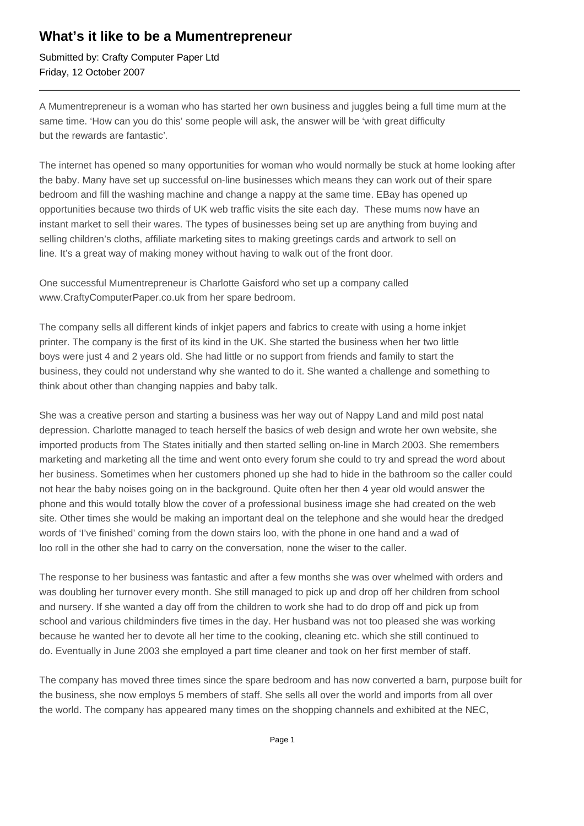## **What's it like to be a Mumentrepreneur**

Submitted by: Crafty Computer Paper Ltd Friday, 12 October 2007

A Mumentrepreneur is a woman who has started her own business and juggles being a full time mum at the same time. 'How can you do this' some people will ask, the answer will be 'with great difficulty but the rewards are fantastic'.

The internet has opened so many opportunities for woman who would normally be stuck at home looking after the baby. Many have set up successful on-line businesses which means they can work out of their spare bedroom and fill the washing machine and change a nappy at the same time. EBay has opened up opportunities because two thirds of UK web traffic visits the site each day. These mums now have an instant market to sell their wares. The types of businesses being set up are anything from buying and selling children's cloths, affiliate marketing sites to making greetings cards and artwork to sell on line. It's a great way of making money without having to walk out of the front door.

One successful Mumentrepreneur is Charlotte Gaisford who set up a company called www.CraftyComputerPaper.co.uk from her spare bedroom.

The company sells all different kinds of inkjet papers and fabrics to create with using a home inkjet printer. The company is the first of its kind in the UK. She started the business when her two little boys were just 4 and 2 years old. She had little or no support from friends and family to start the business, they could not understand why she wanted to do it. She wanted a challenge and something to think about other than changing nappies and baby talk.

She was a creative person and starting a business was her way out of Nappy Land and mild post natal depression. Charlotte managed to teach herself the basics of web design and wrote her own website, she imported products from The States initially and then started selling on-line in March 2003. She remembers marketing and marketing all the time and went onto every forum she could to try and spread the word about her business. Sometimes when her customers phoned up she had to hide in the bathroom so the caller could not hear the baby noises going on in the background. Quite often her then 4 year old would answer the phone and this would totally blow the cover of a professional business image she had created on the web site. Other times she would be making an important deal on the telephone and she would hear the dredged words of 'I've finished' coming from the down stairs loo, with the phone in one hand and a wad of loo roll in the other she had to carry on the conversation, none the wiser to the caller.

The response to her business was fantastic and after a few months she was over whelmed with orders and was doubling her turnover every month. She still managed to pick up and drop off her children from school and nursery. If she wanted a day off from the children to work she had to do drop off and pick up from school and various childminders five times in the day. Her husband was not too pleased she was working because he wanted her to devote all her time to the cooking, cleaning etc. which she still continued to do. Eventually in June 2003 she employed a part time cleaner and took on her first member of staff.

The company has moved three times since the spare bedroom and has now converted a barn, purpose built for the business, she now employs 5 members of staff. She sells all over the world and imports from all over the world. The company has appeared many times on the shopping channels and exhibited at the NEC,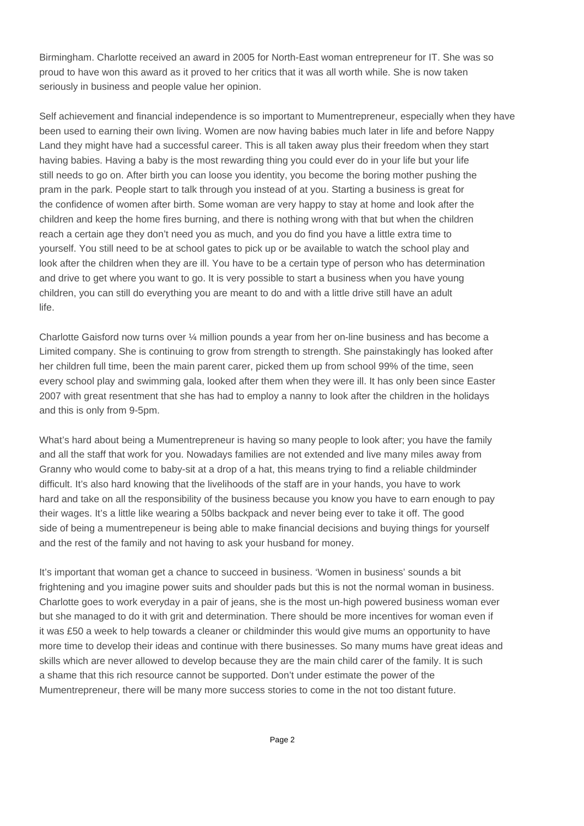Birmingham. Charlotte received an award in 2005 for North-East woman entrepreneur for IT. She was so proud to have won this award as it proved to her critics that it was all worth while. She is now taken seriously in business and people value her opinion.

Self achievement and financial independence is so important to Mumentrepreneur, especially when they have been used to earning their own living. Women are now having babies much later in life and before Nappy Land they might have had a successful career. This is all taken away plus their freedom when they start having babies. Having a baby is the most rewarding thing you could ever do in your life but your life still needs to go on. After birth you can loose you identity, you become the boring mother pushing the pram in the park. People start to talk through you instead of at you. Starting a business is great for the confidence of women after birth. Some woman are very happy to stay at home and look after the children and keep the home fires burning, and there is nothing wrong with that but when the children reach a certain age they don't need you as much, and you do find you have a little extra time to yourself. You still need to be at school gates to pick up or be available to watch the school play and look after the children when they are ill. You have to be a certain type of person who has determination and drive to get where you want to go. It is very possible to start a business when you have young children, you can still do everything you are meant to do and with a little drive still have an adult life.

Charlotte Gaisford now turns over ¼ million pounds a year from her on-line business and has become a Limited company. She is continuing to grow from strength to strength. She painstakingly has looked after her children full time, been the main parent carer, picked them up from school 99% of the time, seen every school play and swimming gala, looked after them when they were ill. It has only been since Easter 2007 with great resentment that she has had to employ a nanny to look after the children in the holidays and this is only from 9-5pm.

What's hard about being a Mumentrepreneur is having so many people to look after; you have the family and all the staff that work for you. Nowadays families are not extended and live many miles away from Granny who would come to baby-sit at a drop of a hat, this means trying to find a reliable childminder difficult. It's also hard knowing that the livelihoods of the staff are in your hands, you have to work hard and take on all the responsibility of the business because you know you have to earn enough to pay their wages. It's a little like wearing a 50lbs backpack and never being ever to take it off. The good side of being a mumentrepeneur is being able to make financial decisions and buying things for yourself and the rest of the family and not having to ask your husband for money.

It's important that woman get a chance to succeed in business. 'Women in business' sounds a bit frightening and you imagine power suits and shoulder pads but this is not the normal woman in business. Charlotte goes to work everyday in a pair of jeans, she is the most un-high powered business woman ever but she managed to do it with grit and determination. There should be more incentives for woman even if it was £50 a week to help towards a cleaner or childminder this would give mums an opportunity to have more time to develop their ideas and continue with there businesses. So many mums have great ideas and skills which are never allowed to develop because they are the main child carer of the family. It is such a shame that this rich resource cannot be supported. Don't under estimate the power of the Mumentrepreneur, there will be many more success stories to come in the not too distant future.